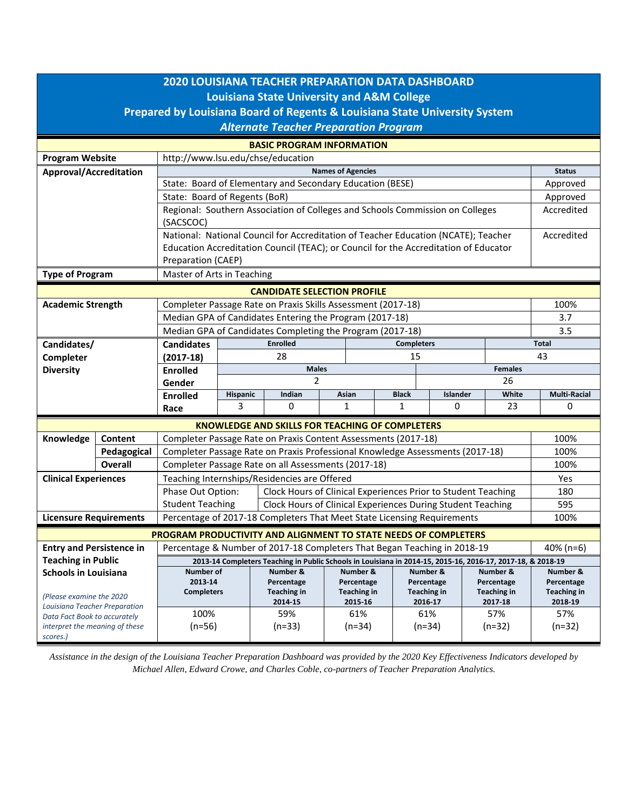| <b>2020 LOUISIANA TEACHER PREPARATION DATA DASHBOARD</b><br><b>Louisiana State University and A&amp;M College</b><br>Prepared by Louisiana Board of Regents & Louisiana State University System<br><b>Alternate Teacher Preparation Program</b> |                                                                                              |                                                                                                             |                                      |                                                        |                                  |          |                                  |          |                                  |              |                                  |  |  |
|-------------------------------------------------------------------------------------------------------------------------------------------------------------------------------------------------------------------------------------------------|----------------------------------------------------------------------------------------------|-------------------------------------------------------------------------------------------------------------|--------------------------------------|--------------------------------------------------------|----------------------------------|----------|----------------------------------|----------|----------------------------------|--------------|----------------------------------|--|--|
| <b>BASIC PROGRAM INFORMATION</b>                                                                                                                                                                                                                |                                                                                              |                                                                                                             |                                      |                                                        |                                  |          |                                  |          |                                  |              |                                  |  |  |
| <b>Program Website</b>                                                                                                                                                                                                                          | http://www.lsu.edu/chse/education                                                            |                                                                                                             |                                      |                                                        |                                  |          |                                  |          |                                  |              |                                  |  |  |
| <b>Approval/Accreditation</b>                                                                                                                                                                                                                   |                                                                                              | <b>Names of Agencies</b>                                                                                    |                                      |                                                        |                                  |          |                                  |          |                                  |              |                                  |  |  |
|                                                                                                                                                                                                                                                 |                                                                                              | State: Board of Elementary and Secondary Education (BESE)                                                   |                                      |                                                        |                                  |          |                                  |          |                                  |              |                                  |  |  |
|                                                                                                                                                                                                                                                 |                                                                                              | State: Board of Regents (BoR)                                                                               |                                      |                                                        |                                  |          |                                  |          |                                  |              | Approved                         |  |  |
|                                                                                                                                                                                                                                                 |                                                                                              | Regional: Southern Association of Colleges and Schools Commission on Colleges                               |                                      |                                                        |                                  |          |                                  |          |                                  | Accredited   |                                  |  |  |
|                                                                                                                                                                                                                                                 |                                                                                              | (SACSCOC)                                                                                                   |                                      |                                                        |                                  |          |                                  |          |                                  |              |                                  |  |  |
|                                                                                                                                                                                                                                                 |                                                                                              | National: National Council for Accreditation of Teacher Education (NCATE); Teacher                          |                                      |                                                        |                                  |          |                                  |          |                                  | Accredited   |                                  |  |  |
|                                                                                                                                                                                                                                                 |                                                                                              | Education Accreditation Council (TEAC); or Council for the Accreditation of Educator                        |                                      |                                                        |                                  |          |                                  |          |                                  |              |                                  |  |  |
|                                                                                                                                                                                                                                                 |                                                                                              | Preparation (CAEP)                                                                                          |                                      |                                                        |                                  |          |                                  |          |                                  |              |                                  |  |  |
| Master of Arts in Teaching<br><b>Type of Program</b>                                                                                                                                                                                            |                                                                                              |                                                                                                             |                                      |                                                        |                                  |          |                                  |          |                                  |              |                                  |  |  |
| <b>CANDIDATE SELECTION PROFILE</b>                                                                                                                                                                                                              |                                                                                              |                                                                                                             |                                      |                                                        |                                  |          |                                  |          |                                  |              |                                  |  |  |
| <b>Academic Strength</b>                                                                                                                                                                                                                        |                                                                                              | Completer Passage Rate on Praxis Skills Assessment (2017-18)                                                |                                      |                                                        |                                  |          |                                  |          |                                  |              | 100%                             |  |  |
|                                                                                                                                                                                                                                                 |                                                                                              | Median GPA of Candidates Entering the Program (2017-18)                                                     |                                      |                                                        |                                  |          |                                  |          |                                  |              | 3.7                              |  |  |
|                                                                                                                                                                                                                                                 |                                                                                              | Median GPA of Candidates Completing the Program (2017-18)                                                   |                                      |                                                        |                                  |          |                                  |          |                                  |              | 3.5                              |  |  |
| Candidates/                                                                                                                                                                                                                                     |                                                                                              | <b>Candidates</b>                                                                                           | <b>Enrolled</b><br><b>Completers</b> |                                                        |                                  |          |                                  |          |                                  | <b>Total</b> |                                  |  |  |
| Completer                                                                                                                                                                                                                                       |                                                                                              | $(2017-18)$                                                                                                 |                                      | 28<br>15                                               |                                  |          |                                  |          | 43                               |              |                                  |  |  |
| <b>Diversity</b>                                                                                                                                                                                                                                |                                                                                              | <b>Enrolled</b>                                                                                             | <b>Males</b><br><b>Females</b>       |                                                        |                                  |          |                                  |          |                                  |              |                                  |  |  |
|                                                                                                                                                                                                                                                 |                                                                                              | Gender                                                                                                      | 2<br>26                              |                                                        |                                  |          |                                  |          |                                  |              |                                  |  |  |
|                                                                                                                                                                                                                                                 |                                                                                              | <b>Enrolled</b>                                                                                             | Hispanic                             | Indian                                                 |                                  | Asian    | <b>Black</b>                     | Islander |                                  | White        | <b>Multi-Racial</b>              |  |  |
|                                                                                                                                                                                                                                                 |                                                                                              | Race                                                                                                        | 3                                    | 0                                                      |                                  | 1        | $\mathbf{1}$                     | 0        |                                  | 23           | 0                                |  |  |
|                                                                                                                                                                                                                                                 |                                                                                              |                                                                                                             |                                      | <b>KNOWLEDGE AND SKILLS FOR TEACHING OF COMPLETERS</b> |                                  |          |                                  |          |                                  |              |                                  |  |  |
| Knowledge                                                                                                                                                                                                                                       | Content                                                                                      | Completer Passage Rate on Praxis Content Assessments (2017-18)                                              |                                      |                                                        |                                  |          |                                  |          |                                  |              |                                  |  |  |
|                                                                                                                                                                                                                                                 | Completer Passage Rate on Praxis Professional Knowledge Assessments (2017-18)<br>Pedagogical |                                                                                                             |                                      |                                                        |                                  |          |                                  |          | 100%                             |              |                                  |  |  |
|                                                                                                                                                                                                                                                 | <b>Overall</b>                                                                               | Completer Passage Rate on all Assessments (2017-18)                                                         | 100%                                 |                                                        |                                  |          |                                  |          |                                  |              |                                  |  |  |
| <b>Clinical Experiences</b>                                                                                                                                                                                                                     |                                                                                              | Teaching Internships/Residencies are Offered                                                                | Yes                                  |                                                        |                                  |          |                                  |          |                                  |              |                                  |  |  |
|                                                                                                                                                                                                                                                 |                                                                                              | Phase Out Option:<br>Clock Hours of Clinical Experiences Prior to Student Teaching                          |                                      |                                                        |                                  |          |                                  |          |                                  |              | 180                              |  |  |
|                                                                                                                                                                                                                                                 |                                                                                              | <b>Student Teaching</b><br>Clock Hours of Clinical Experiences During Student Teaching                      |                                      |                                                        |                                  |          |                                  |          |                                  |              | 595                              |  |  |
| <b>Licensure Requirements</b>                                                                                                                                                                                                                   |                                                                                              | Percentage of 2017-18 Completers That Meet State Licensing Requirements                                     |                                      |                                                        |                                  |          |                                  |          |                                  |              | 100%                             |  |  |
| PROGRAM PRODUCTIVITY AND ALIGNMENT TO STATE NEEDS OF COMPLETERS                                                                                                                                                                                 |                                                                                              |                                                                                                             |                                      |                                                        |                                  |          |                                  |          |                                  |              |                                  |  |  |
| <b>Entry and Persistence in</b>                                                                                                                                                                                                                 |                                                                                              | Percentage & Number of 2017-18 Completers That Began Teaching in 2018-19                                    |                                      |                                                        |                                  |          |                                  |          |                                  |              | 40% (n=6)                        |  |  |
| <b>Teaching in Public</b>                                                                                                                                                                                                                       |                                                                                              | 2013-14 Completers Teaching in Public Schools in Louisiana in 2014-15, 2015-16, 2016-17, 2017-18, & 2018-19 |                                      |                                                        |                                  |          |                                  |          |                                  |              |                                  |  |  |
| <b>Schools in Louisiana</b>                                                                                                                                                                                                                     |                                                                                              | Number of                                                                                                   |                                      | Number &                                               |                                  | Number & | Number &                         |          | Number &                         |              | Number &                         |  |  |
|                                                                                                                                                                                                                                                 |                                                                                              | 2013-14<br><b>Completers</b>                                                                                |                                      | Percentage<br><b>Teaching in</b>                       | Percentage<br><b>Teaching in</b> |          | Percentage<br><b>Teaching in</b> |          | Percentage<br><b>Teaching in</b> |              | Percentage<br><b>Teaching in</b> |  |  |
| (Please examine the 2020                                                                                                                                                                                                                        |                                                                                              |                                                                                                             |                                      | 2014-15                                                | 2015-16                          |          | 2016-17                          |          | 2017-18                          |              | 2018-19                          |  |  |
| Louisiana Teacher Preparation<br>Data Fact Book to accurately                                                                                                                                                                                   |                                                                                              | 100%                                                                                                        |                                      | 59%                                                    |                                  | 61%      |                                  | 61%      |                                  | 57%          | 57%                              |  |  |
| interpret the meaning of these                                                                                                                                                                                                                  |                                                                                              | $(n=56)$                                                                                                    |                                      | $(n=33)$                                               |                                  | $(n=34)$ |                                  | $(n=34)$ |                                  | $(n=32)$     | $(n=32)$                         |  |  |
| scores.)                                                                                                                                                                                                                                        |                                                                                              |                                                                                                             |                                      |                                                        |                                  |          |                                  |          |                                  |              |                                  |  |  |

*Assistance in the design of the Louisiana Teacher Preparation Dashboard was provided by the 2020 Key Effectiveness Indicators developed by Michael Allen, Edward Crowe, and Charles Coble, co-partners of Teacher Preparation Analytics.*